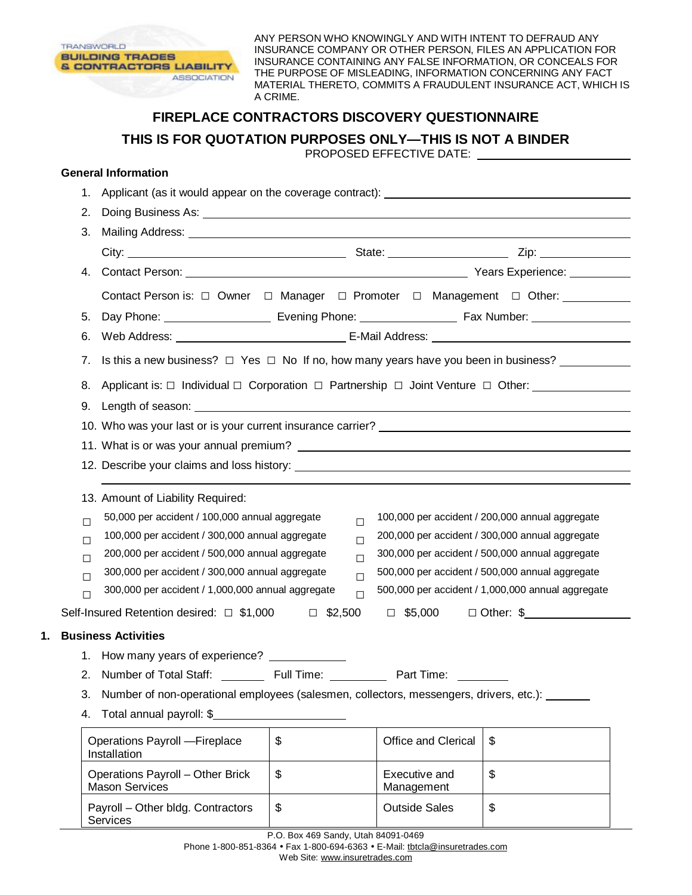

ANY PERSON WHO KNOWINGLY AND WITH INTENT TO DEFRAUD ANY INSURANCE COMPANY OR OTHER PERSON, FILES AN APPLICATION FOR INSURANCE CONTAINING ANY FALSE INFORMATION, OR CONCEALS FOR THE PURPOSE OF MISLEADING, INFORMATION CONCERNING ANY FACT MATERIAL THERETO, COMMITS A FRAUDULENT INSURANCE ACT, WHICH IS A CRIME.

## **FIREPLACE CONTRACTORS DISCOVERY QUESTIONNAIRE THIS IS FOR QUOTATION PURPOSES ONLY—THIS IS NOT A BINDER**

PROPOSED EFFECTIVE DATE:

## **General Information**

|                                                                                                                                                                                                                                                                                                                                                                                | 1.     |                                                                                                              |                                                                                                          |                                                                                               |    |  |
|--------------------------------------------------------------------------------------------------------------------------------------------------------------------------------------------------------------------------------------------------------------------------------------------------------------------------------------------------------------------------------|--------|--------------------------------------------------------------------------------------------------------------|----------------------------------------------------------------------------------------------------------|-----------------------------------------------------------------------------------------------|----|--|
|                                                                                                                                                                                                                                                                                                                                                                                | 2.     |                                                                                                              |                                                                                                          |                                                                                               |    |  |
|                                                                                                                                                                                                                                                                                                                                                                                | 3.     |                                                                                                              |                                                                                                          |                                                                                               |    |  |
|                                                                                                                                                                                                                                                                                                                                                                                |        |                                                                                                              |                                                                                                          |                                                                                               |    |  |
|                                                                                                                                                                                                                                                                                                                                                                                | 4.     |                                                                                                              |                                                                                                          |                                                                                               |    |  |
|                                                                                                                                                                                                                                                                                                                                                                                |        | Contact Person is: □ Owner □ Manager □ Promoter □ Management □ Other:                                        |                                                                                                          |                                                                                               |    |  |
|                                                                                                                                                                                                                                                                                                                                                                                | 5.     |                                                                                                              |                                                                                                          |                                                                                               |    |  |
|                                                                                                                                                                                                                                                                                                                                                                                | 6.     |                                                                                                              |                                                                                                          |                                                                                               |    |  |
| 7.                                                                                                                                                                                                                                                                                                                                                                             |        |                                                                                                              |                                                                                                          | Is this a new business? $\Box$ Yes $\Box$ No If no, how many years have you been in business? |    |  |
|                                                                                                                                                                                                                                                                                                                                                                                | 8.     |                                                                                                              | Applicant is: $\Box$ Individual $\Box$ Corporation $\Box$ Partnership $\Box$ Joint Venture $\Box$ Other: |                                                                                               |    |  |
| 9.                                                                                                                                                                                                                                                                                                                                                                             |        |                                                                                                              |                                                                                                          |                                                                                               |    |  |
|                                                                                                                                                                                                                                                                                                                                                                                |        |                                                                                                              |                                                                                                          |                                                                                               |    |  |
|                                                                                                                                                                                                                                                                                                                                                                                |        |                                                                                                              |                                                                                                          |                                                                                               |    |  |
|                                                                                                                                                                                                                                                                                                                                                                                |        |                                                                                                              |                                                                                                          |                                                                                               |    |  |
|                                                                                                                                                                                                                                                                                                                                                                                |        |                                                                                                              |                                                                                                          |                                                                                               |    |  |
|                                                                                                                                                                                                                                                                                                                                                                                |        | 13. Amount of Liability Required:                                                                            |                                                                                                          |                                                                                               |    |  |
|                                                                                                                                                                                                                                                                                                                                                                                | $\Box$ | 50,000 per accident / 100,000 annual aggregate<br>100,000 per accident / 200,000 annual aggregate<br>$\Box$  |                                                                                                          |                                                                                               |    |  |
|                                                                                                                                                                                                                                                                                                                                                                                | $\Box$ | 100,000 per accident / 300,000 annual aggregate<br>200,000 per accident / 300,000 annual aggregate<br>$\Box$ |                                                                                                          |                                                                                               |    |  |
| 200,000 per accident / 500,000 annual aggregate<br>300,000 per accident / 500,000 annual aggregate<br>$\Box$<br>$\Box$<br>300,000 per accident / 300,000 annual aggregate<br>500,000 per accident / 500,000 annual aggregate<br>$\Box$<br>$\Box$<br>500,000 per accident / 1,000,000 annual aggregate<br>300,000 per accident / 1,000,000 annual aggregate<br>$\Box$<br>$\Box$ |        |                                                                                                              |                                                                                                          |                                                                                               |    |  |
|                                                                                                                                                                                                                                                                                                                                                                                |        |                                                                                                              |                                                                                                          |                                                                                               |    |  |
|                                                                                                                                                                                                                                                                                                                                                                                |        |                                                                                                              |                                                                                                          |                                                                                               |    |  |
| Self-Insured Retention desired: □ \$1,000<br>$\Box$ \$5,000<br>$\Box$ \$2,500                                                                                                                                                                                                                                                                                                  |        |                                                                                                              |                                                                                                          | $\Box$ Other: \$                                                                              |    |  |
| 1.                                                                                                                                                                                                                                                                                                                                                                             |        | <b>Business Activities</b>                                                                                   |                                                                                                          |                                                                                               |    |  |
|                                                                                                                                                                                                                                                                                                                                                                                |        | 1. How many years of experience? ____________                                                                |                                                                                                          |                                                                                               |    |  |
|                                                                                                                                                                                                                                                                                                                                                                                |        |                                                                                                              |                                                                                                          |                                                                                               |    |  |
|                                                                                                                                                                                                                                                                                                                                                                                | З.     | Number of non-operational employees (salesmen, collectors, messengers, drivers, etc.):                       |                                                                                                          |                                                                                               |    |  |
|                                                                                                                                                                                                                                                                                                                                                                                | 4.     | Total annual payroll: \$                                                                                     |                                                                                                          |                                                                                               |    |  |
|                                                                                                                                                                                                                                                                                                                                                                                |        | Operations Payroll - Fireplace<br>Installation                                                               | \$                                                                                                       | Office and Clerical                                                                           | \$ |  |
|                                                                                                                                                                                                                                                                                                                                                                                |        | Operations Payroll - Other Brick<br><b>Mason Services</b>                                                    | \$                                                                                                       | Executive and<br>Management                                                                   | \$ |  |
|                                                                                                                                                                                                                                                                                                                                                                                |        | Payroll - Other bldg. Contractors<br>Services                                                                | \$                                                                                                       | <b>Outside Sales</b>                                                                          | \$ |  |
|                                                                                                                                                                                                                                                                                                                                                                                |        |                                                                                                              | P.O. Box 469 Sandy, Utah 84091-0469                                                                      |                                                                                               |    |  |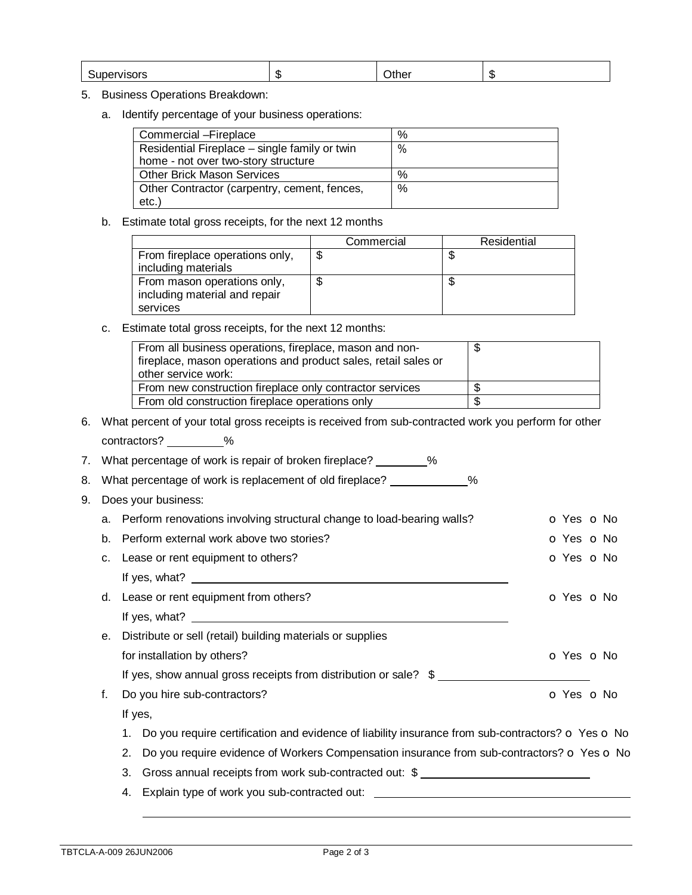| $\sqrt{2}$ | ιIJ. |  |  |
|------------|------|--|--|
|------------|------|--|--|

## 5. Business Operations Breakdown:

a. Identify percentage of your business operations:

| Commercial - Fireplace                        | % |
|-----------------------------------------------|---|
| Residential Fireplace – single family or twin | % |
| home - not over two-story structure           |   |
| <b>Other Brick Mason Services</b>             | % |
| Other Contractor (carpentry, cement, fences,  | % |
| $etc.$ )                                      |   |

b. Estimate total gross receipts, for the next 12 months

|                                 | Commercial | Residential |
|---------------------------------|------------|-------------|
| From fireplace operations only, |            | ۰D          |
| including materials             |            |             |
| From mason operations only,     |            | ۰D          |
| including material and repair   |            |             |
| services                        |            |             |

c. Estimate total gross receipts, for the next 12 months:

| From all business operations, fireplace, mason and non-<br>fireplace, mason operations and product sales, retail sales or<br>other service work: |  |
|--------------------------------------------------------------------------------------------------------------------------------------------------|--|
| From new construction fireplace only contractor services                                                                                         |  |
| From old construction fireplace operations only                                                                                                  |  |

6. What percent of your total gross receipts is received from sub-contracted work you perform for other contractors? \_\_\_\_\_\_\_\_\_%

| 7. |                             | What percentage of work is repair of broken fireplace? _________%                                                                                                                                                                 |                          |  |  |
|----|-----------------------------|-----------------------------------------------------------------------------------------------------------------------------------------------------------------------------------------------------------------------------------|--------------------------|--|--|
| 8. |                             | What percentage of work is replacement of old fireplace? ____________<br>%                                                                                                                                                        |                          |  |  |
| 9. |                             | Does your business:                                                                                                                                                                                                               |                          |  |  |
|    |                             | a. Perform renovations involving structural change to load-bearing walls?                                                                                                                                                         | <b>O</b> Yes <b>O</b> No |  |  |
|    | b.                          | Perform external work above two stories?                                                                                                                                                                                          | O Yes O No               |  |  |
|    | c.                          | Lease or rent equipment to others?                                                                                                                                                                                                | O Yes O No               |  |  |
|    |                             | If yes, what? $\frac{1}{2}$ is the set of the set of the set of the set of the set of the set of the set of the set of the set of the set of the set of the set of the set of the set of the set of the set of the set of the set |                          |  |  |
|    |                             | d. Lease or rent equipment from others?                                                                                                                                                                                           | O Yes O No               |  |  |
|    |                             |                                                                                                                                                                                                                                   |                          |  |  |
|    | е.                          | Distribute or sell (retail) building materials or supplies                                                                                                                                                                        |                          |  |  |
|    | for installation by others? |                                                                                                                                                                                                                                   | $O Yes$ $O No$           |  |  |
|    |                             | If yes, show annual gross receipts from distribution or sale? \$                                                                                                                                                                  |                          |  |  |
|    | f.                          | Do you hire sub-contractors?                                                                                                                                                                                                      | O Yes O No               |  |  |
|    | If yes,                     |                                                                                                                                                                                                                                   |                          |  |  |
|    |                             | Do you require certification and evidence of liability insurance from sub-contractors? $\sigma$ Yes $\sigma$ No<br>1.                                                                                                             |                          |  |  |
|    |                             | Do you require evidence of Workers Compensation insurance from sub-contractors? o Yes o No<br>2.                                                                                                                                  |                          |  |  |
|    |                             | 3.<br>Gross annual receipts from work sub-contracted out: \$                                                                                                                                                                      |                          |  |  |
|    |                             | Explain type of work you sub-contracted out:<br>4.                                                                                                                                                                                |                          |  |  |